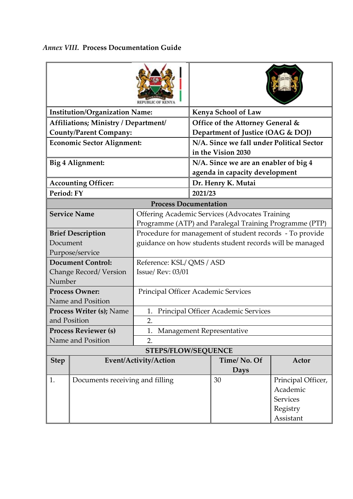| <b>Institution/Organization Name:</b> |                            |                                                          | <b>Kenya School of Law</b>                                      |                                      |                 |  |  |  |
|---------------------------------------|----------------------------|----------------------------------------------------------|-----------------------------------------------------------------|--------------------------------------|-----------------|--|--|--|
| Affiliations; Ministry / Department/  |                            |                                                          | Office of the Attorney General &                                |                                      |                 |  |  |  |
| <b>County/Parent Company:</b>         |                            |                                                          | Department of Justice (OAG & DOJ)                               |                                      |                 |  |  |  |
| <b>Economic Sector Alignment:</b>     |                            |                                                          | N/A. Since we fall under Political Sector<br>in the Vision 2030 |                                      |                 |  |  |  |
| <b>Big 4 Alignment:</b>               |                            |                                                          | N/A. Since we are an enabler of big 4                           |                                      |                 |  |  |  |
|                                       |                            |                                                          | agenda in capacity development                                  |                                      |                 |  |  |  |
|                                       | <b>Accounting Officer:</b> |                                                          | Dr. Henry K. Mutai                                              |                                      |                 |  |  |  |
| Period: FY                            |                            |                                                          | 2021/23                                                         |                                      |                 |  |  |  |
| <b>Process Documentation</b>          |                            |                                                          |                                                                 |                                      |                 |  |  |  |
| <b>Service Name</b>                   |                            | <b>Offering Academic Services (Advocates Training</b>    |                                                                 |                                      |                 |  |  |  |
|                                       |                            | Programme (ATP) and Paralegal Training Programme (PTP)   |                                                                 |                                      |                 |  |  |  |
| <b>Brief Description</b>              |                            | Procedure for management of student records - To provide |                                                                 |                                      |                 |  |  |  |
| Document                              |                            | guidance on how students student records will be managed |                                                                 |                                      |                 |  |  |  |
| Purpose/service                       |                            |                                                          |                                                                 |                                      |                 |  |  |  |
| <b>Document Control:</b>              |                            | Reference: KSL/QMS / ASD                                 |                                                                 |                                      |                 |  |  |  |
| Change Record/Version                 |                            | <b>Issue/ Rev: 03/01</b>                                 |                                                                 |                                      |                 |  |  |  |
| Number                                |                            |                                                          |                                                                 |                                      |                 |  |  |  |
| <b>Process Owner:</b>                 |                            | Principal Officer Academic Services                      |                                                                 |                                      |                 |  |  |  |
| Name and Position                     |                            |                                                          |                                                                 |                                      |                 |  |  |  |
| <b>Process Writer (s); Name</b>       |                            | Principal Officer Academic Services<br>1.                |                                                                 |                                      |                 |  |  |  |
| and Position                          |                            | 2.                                                       |                                                                 |                                      |                 |  |  |  |
| <b>Process Reviewer (s)</b>           |                            | Management Representative                                |                                                                 |                                      |                 |  |  |  |
| Name and Position                     |                            | 2.                                                       |                                                                 |                                      |                 |  |  |  |
| <b>STEPS/FLOW/SEQUENCE</b>            |                            |                                                          |                                                                 |                                      |                 |  |  |  |
| <b>Step</b>                           |                            | Event/Activity/Action                                    |                                                                 | Time/No. Of                          | Actor           |  |  |  |
|                                       |                            |                                                          |                                                                 | <b>Days</b>                          |                 |  |  |  |
| 1.<br>Documents receiving and filling |                            |                                                          |                                                                 | 30<br>Principal Officer,<br>Academic |                 |  |  |  |
|                                       |                            |                                                          |                                                                 |                                      | <b>Services</b> |  |  |  |
|                                       |                            |                                                          |                                                                 |                                      | Registry        |  |  |  |
|                                       |                            |                                                          |                                                                 |                                      | Assistant       |  |  |  |

## *Annex VIII.* **Process Documentation Guide**